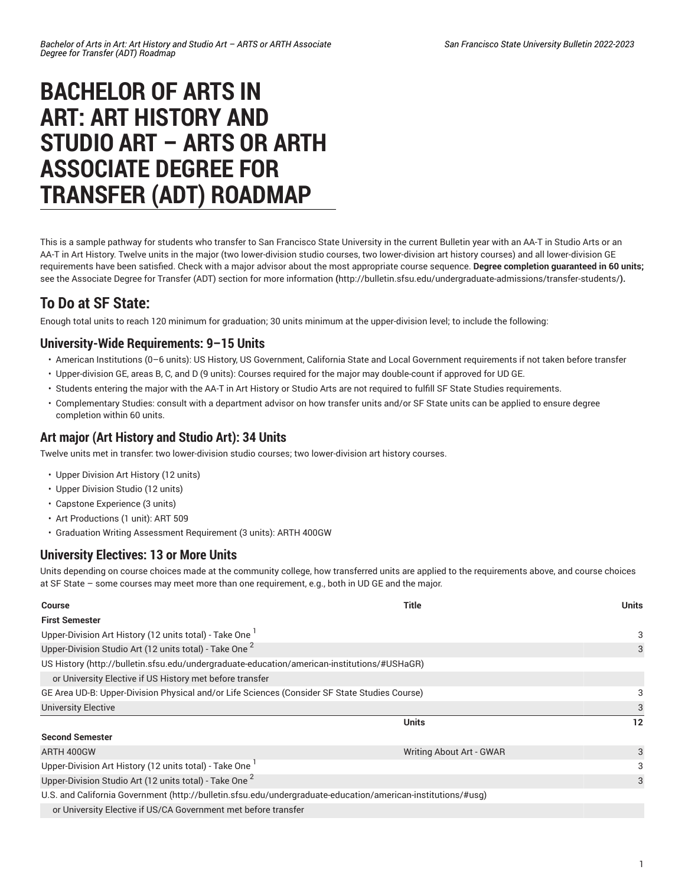# **BACHELOR OF ARTS IN ART: ART HISTORY AND STUDIO ART – ARTS OR ARTH ASSOCIATE DEGREE FOR TRANSFER (ADT) ROADMAP**

This is a sample pathway for students who transfer to San Francisco State University in the current Bulletin year with an AA-T in Studio Arts or an AA-T in Art History. Twelve units in the major (two lower-division studio courses, two lower-division art history courses) and all lower-division GE requirements have been satisfied. Check with a major advisor about the most appropriate course sequence. **Degree completion guaranteed in 60 units;** see the Associate Degree for Transfer (ADT) section for more [information](http://bulletin.sfsu.edu/undergraduate-admissions/transfer-students/) **(**<http://bulletin.sfsu.edu/undergraduate-admissions/transfer-students/>**).**

# **To Do at SF State:**

Enough total units to reach 120 minimum for graduation; 30 units minimum at the upper-division level; to include the following:

## **University-Wide Requirements: 9–15 Units**

- American Institutions (0–6 units): US History, US Government, California State and Local Government requirements if not taken before transfer
- Upper-division GE, areas B, C, and D (9 units): Courses required for the major may double-count if approved for UD GE.
- Students entering the major with the AA-T in Art History or Studio Arts are not required to fulfill SF State Studies requirements.
- Complementary Studies: consult with a department advisor on how transfer units and/or SF State units can be applied to ensure degree completion within 60 units.

#### **Art major (Art History and Studio Art): 34 Units**

Twelve units met in transfer: two lower-division studio courses; two lower-division art history courses.

- Upper Division Art History (12 units)
- Upper Division Studio (12 units)
- Capstone Experience (3 units)
- Art Productions (1 unit): ART 509
- Graduation Writing Assessment Requirement (3 units): ARTH 400GW

### **University Electives: 13 or More Units**

Units depending on course choices made at the community college, how transferred units are applied to the requirements above, and course choices at SF State – some courses may meet more than one requirement, e.g., both in UD GE and the major.

| <b>Course</b>                                                                                                | <b>Title</b>             | <b>Units</b>      |
|--------------------------------------------------------------------------------------------------------------|--------------------------|-------------------|
| <b>First Semester</b>                                                                                        |                          |                   |
| Upper-Division Art History (12 units total) - Take One 1                                                     |                          | 3                 |
| Upper-Division Studio Art (12 units total) - Take One <sup>2</sup>                                           |                          | 3                 |
| US History (http://bulletin.sfsu.edu/undergraduate-education/american-institutions/#USHaGR)                  |                          |                   |
| or University Elective if US History met before transfer                                                     |                          |                   |
| GE Area UD-B: Upper-Division Physical and/or Life Sciences (Consider SF State Studies Course)                |                          | 3                 |
| <b>University Elective</b>                                                                                   |                          | 3                 |
|                                                                                                              | <b>Units</b>             | $12 \overline{ }$ |
| <b>Second Semester</b>                                                                                       |                          |                   |
| ARTH 400GW                                                                                                   | Writing About Art - GWAR | 3                 |
| Upper-Division Art History (12 units total) - Take One                                                       |                          | 3                 |
| Upper-Division Studio Art (12 units total) - Take One <sup>2</sup>                                           |                          | 3                 |
| U.S. and California Government (http://bulletin.sfsu.edu/undergraduate-education/american-institutions/#usg) |                          |                   |
| or University Elective if US/CA Government met before transfer                                               |                          |                   |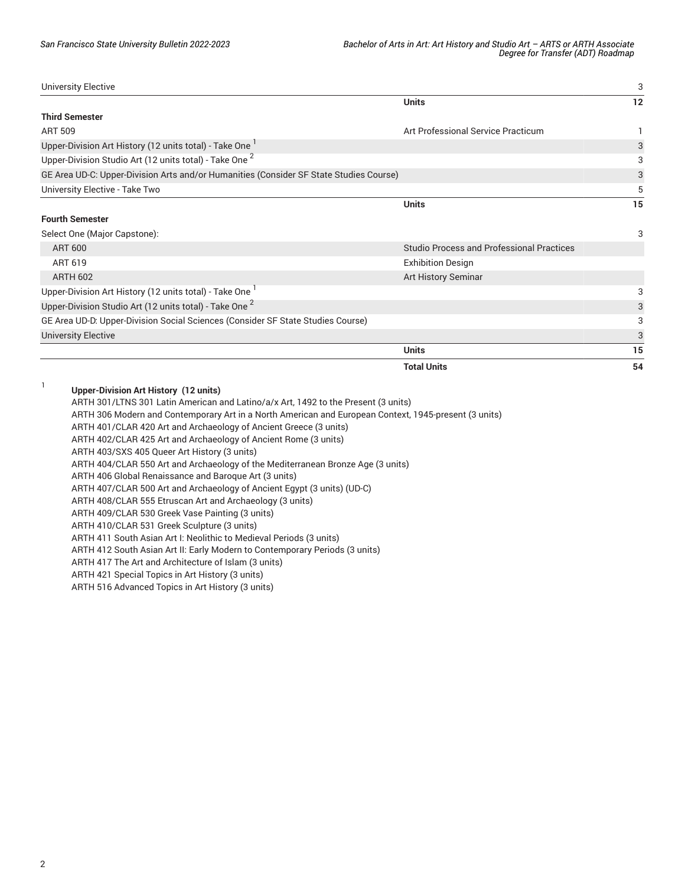University Elective 3 **Units 12 Third Semester** ART 509 **Art Professional Service Practicum** 1 Upper-Division Art History (12 units total) - Take One  $^{\mathrm{1}}$ 3 Upper-Division Studio Art (12 units total) - Take One  $^{\mathsf{2}}$ 3 GE Area UD-C: [Upper-Division](/undergraduate-education/general-education/upper-division/#artsandorhumanitiesudctext) Arts and/or Humanities (Consider SF State Studies Course) 3 University Elective - Take Two 5 **Units 15 Fourth Semester** Select One (Major Capstone): 3 ART 600 Studio Process and Professional Practices ART 619 Exhibition Design ARTH 602 Art History Seminar Art History Seminar Art History Seminar Art History Seminar Upper-Division Art History (12 units total) - Take One  $^{\mathrm{1}}$ 3 Upper-Division Studio Art (12 units total) - Take One  $^2$ 3 GE Area UD-D: [Upper-Division](/undergraduate-education/general-education/upper-division/#socialsciencesuddtext) Social Sciences (Consider SF State Studies Course) 3 University Elective 3 **Units 15 Total Units 54** 1

**Upper-Division Art History (12 units)**

ARTH 301/LTNS 301 Latin American and Latino/a/x Art, 1492 to the Present (3 units)

ARTH 306 Modern and Contemporary Art in a North American and European Context, 1945-present (3 units)

ARTH 401/CLAR 420 Art and Archaeology of Ancient Greece (3 units)

ARTH 402/CLAR 425 Art and Archaeology of Ancient Rome (3 units)

ARTH 403/SXS 405 Queer Art History (3 units)

ARTH 404/CLAR 550 Art and Archaeology of the Mediterranean Bronze Age (3 units)

ARTH 406 Global Renaissance and Baroque Art (3 units)

ARTH 407/CLAR 500 Art and Archaeology of Ancient Egypt (3 units) (UD-C)

ARTH 408/CLAR 555 Etruscan Art and Archaeology (3 units)

ARTH 409/CLAR 530 Greek Vase Painting (3 units)

ARTH 410/CLAR 531 Greek Sculpture (3 units)

ARTH 411 South Asian Art I: Neolithic to Medieval Periods (3 units)

ARTH 412 South Asian Art II: Early Modern to Contemporary Periods (3 units)

ARTH 417 The Art and Architecture of Islam (3 units)

ARTH 421 Special Topics in Art History (3 units)

ARTH 516 Advanced Topics in Art History (3 units)